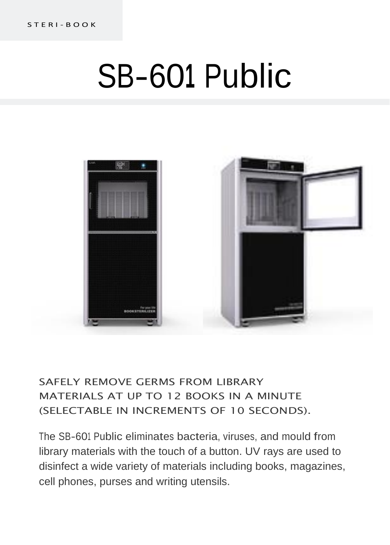# SB-60**<sup>1</sup>** Public



## SAFELY REMOVE GERMS FROM LIBRARY MATERIALS AT UP TO 12 BOOKS IN A MINUTE (SELECTABLE IN INCREMENTS OF 10 SECONDS).

The SB-601 Public eliminates bacteria, viruses, and mould from library materials with the touch of a button. UV rays are used to disinfect a wide variety of materials including books, magazines, cell phones, purses and writing utensils.